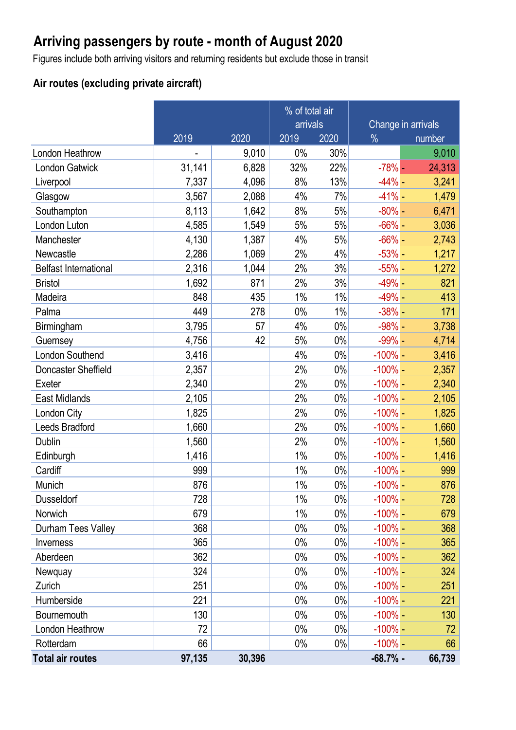# **Arriving passengers by route - month of August 2020**

Figures include both arriving visitors and returning residents but exclude those in transit

### **Air routes (excluding private aircraft)**

|                              |        |        | % of total air |       |               |                    |
|------------------------------|--------|--------|----------------|-------|---------------|--------------------|
|                              |        |        | arrivals       |       |               | Change in arrivals |
|                              | 2019   | 2020   | 2019           | 2020  | $\frac{0}{0}$ | number             |
| <b>London Heathrow</b>       |        | 9,010  | 0%             | 30%   |               | 9,010              |
| <b>London Gatwick</b>        | 31,141 | 6,828  | 32%            | 22%   | $-78%$ -      | 24,313             |
| Liverpool                    | 7,337  | 4,096  | 8%             | 13%   | $-44% -$      | 3,241              |
| Glasgow                      | 3,567  | 2,088  | 4%             | 7%    | $-41% -$      | 1,479              |
| Southampton                  | 8,113  | 1,642  | 8%             | 5%    | $-80\%$ -     | 6,471              |
| London Luton                 | 4,585  | 1,549  | 5%             | 5%    | $-66% -$      | 3,036              |
| Manchester                   | 4,130  | 1,387  | 4%             | 5%    | $-66% -$      | 2,743              |
| Newcastle                    | 2,286  | 1,069  | 2%             | 4%    | $-53\%$ -     | 1,217              |
| <b>Belfast International</b> | 2,316  | 1,044  | 2%             | 3%    | $-55\%$ -     | 1,272              |
| <b>Bristol</b>               | 1,692  | 871    | 2%             | 3%    | $-49% -$      | 821                |
| Madeira                      | 848    | 435    | $1\%$          | 1%    | $-49% -$      | 413                |
| Palma                        | 449    | 278    | $0\%$          | 1%    | $-38% -$      | 171                |
| Birmingham                   | 3,795  | 57     | 4%             | $0\%$ | $-98\%$ -     | 3,738              |
| Guernsey                     | 4,756  | 42     | 5%             | $0\%$ | $-99\%$ -     | 4,714              |
| <b>London Southend</b>       | 3,416  |        | 4%             | $0\%$ | $-100\%$ -    | 3,416              |
| Doncaster Sheffield          | 2,357  |        | 2%             | $0\%$ | $-100\%$ -    | 2,357              |
| Exeter                       | 2,340  |        | 2%             | $0\%$ | $-100\%$ –    | 2,340              |
| East Midlands                | 2,105  |        | 2%             | $0\%$ | $-100\%$ –    | 2,105              |
| London City                  | 1,825  |        | 2%             | $0\%$ | $-100\%$ -    | 1,825              |
| <b>Leeds Bradford</b>        | 1,660  |        | 2%             | $0\%$ | $-100\%$ –    | 1,660              |
| <b>Dublin</b>                | 1,560  |        | 2%             | $0\%$ | $-100\%$ –    | 1,560              |
| Edinburgh                    | 1,416  |        | 1%             | $0\%$ | $-100\%$ -    | 1,416              |
| Cardiff                      | 999    |        | 1%             | $0\%$ | $-100\%$ –    | 999                |
| Munich                       | 876    |        | $1\%$          | $0\%$ | $-100\%$ -    | 876                |
| Dusseldorf                   | 728    |        | 1%             | $0\%$ | $-100\%$ –    | 728                |
| Norwich                      | 679    |        | 1%             | $0\%$ | $-100\%$ -    | 679                |
| Durham Tees Valley           | 368    |        | $0\%$          | $0\%$ | $-100\%$ -    | 368                |
| Inverness                    | 365    |        | $0\%$          | $0\%$ | $-100\%$ –    | 365                |
| Aberdeen                     | 362    |        | 0%             | $0\%$ | $-100\%$ –    | 362                |
| Newquay                      | 324    |        | 0%             | $0\%$ | $-100\%$ -    | 324                |
| Zurich                       | 251    |        | $0\%$          | $0\%$ | $-100\%$ -    | 251                |
| Humberside                   | 221    |        | $0\%$          | 0%    | $-100\%$ -    | 221                |
| Bournemouth                  | 130    |        | 0%             | $0\%$ | $-100\%$ -    | 130                |
| London Heathrow              | 72     |        | $0\%$          | $0\%$ | $-100\%$ -    | 72                 |
| Rotterdam                    | 66     |        | $0\%$          | $0\%$ | $-100\%$ -    | 66                 |
| <b>Total air routes</b>      | 97,135 | 30,396 |                |       | $-68.7%$ -    | 66,739             |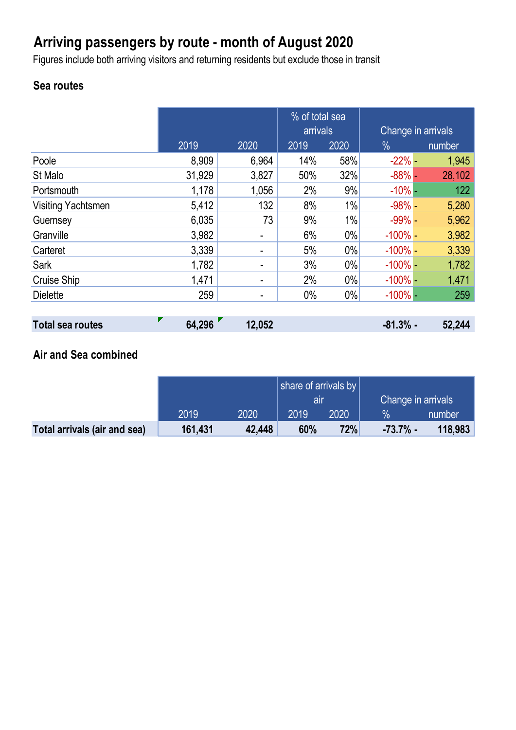# **Arriving passengers by route - month of August 2020**

Figures include both arriving visitors and returning residents but exclude those in transit

### **Sea routes**

|                           |        |       | % of total sea |       |                    |        |
|---------------------------|--------|-------|----------------|-------|--------------------|--------|
|                           |        |       | arrivals       |       | Change in arrivals |        |
|                           | 2019   | 2020  | 2019           | 2020  | $\%$               | number |
| Poole                     | 8,909  | 6,964 | 14%            | 58%   | $-22% -$           | 1,945  |
| St Malo                   | 31,929 | 3,827 | 50%            | 32%   | $-88%$ -           | 28,102 |
| Portsmouth                | 1,178  | 1,056 | 2%             | 9%    | $-10\%$ -          | 122    |
| <b>Visiting Yachtsmen</b> | 5,412  | 132   | 8%             | 1%    | $-98% -$           | 5,280  |
| Guernsey                  | 6,035  | 73    | 9%             | 1%    | $-99\%$ -          | 5,962  |
| Granville                 | 3,982  |       | 6%             | $0\%$ | $-100\%$ -         | 3,982  |
| Carteret                  | 3,339  | -     | 5%             | $0\%$ | $-100\%$ -         | 3,339  |
| Sark                      | 1,782  | -     | 3%             | $0\%$ | $-100\%$ -         | 1,782  |
| Cruise Ship               | 1,471  | -     | 2%             | 0%    | $-100\%$ –         | 1,471  |
| <b>Dielette</b>           | 259    | -     | $0\%$          | $0\%$ | $-100\%$ -         | 259    |
|                           |        |       |                |       |                    |        |

| <b>Total sea routes</b> | 64,296 | 12,052 | $-81.3%$ - | 52,244 |
|-------------------------|--------|--------|------------|--------|
|                         |        |        |            |        |

### **Air and Sea combined**

|                              |         |        | share of arrivals by $ $ |      |                    |         |
|------------------------------|---------|--------|--------------------------|------|--------------------|---------|
|                              |         |        | all                      |      | Change in arrivals |         |
|                              | 2019    | 2020   | 2019                     | 2020 | $\%$               | number  |
| Total arrivals (air and sea) | 161,431 | 42,448 | 60%                      | 72%  | $-73.7%$ -         | 118,983 |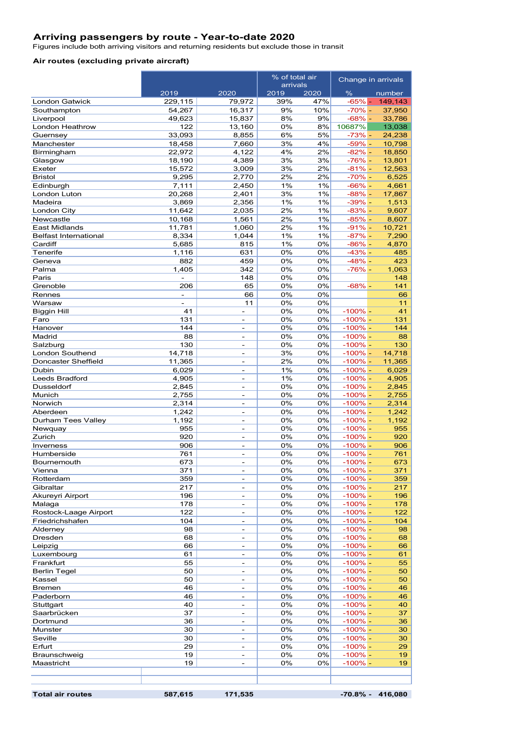#### **Arriving passengers by route - Year-to-date 2020**

Figures include both arriving visitors and returning residents but exclude those in transit

#### **Air routes (excluding private aircraft)**

|                                     |                                                      |                                                          | % of total air   |          | Change in arrivals       |                  |
|-------------------------------------|------------------------------------------------------|----------------------------------------------------------|------------------|----------|--------------------------|------------------|
|                                     | 2019                                                 | 2020                                                     | arrivals<br>2019 | 2020     | $\%$                     | number           |
| <b>London Gatwick</b>               | 229,115                                              | 79,972                                                   | 39%              | 47%      | $-65%$ $-$               | 149,143          |
| Southampton                         | 54,267                                               | 16,317                                                   | 9%               | 10%      | $-70\% -$                | 37,950           |
| Liverpool                           | 49,623                                               | 15,837                                                   | 8%               | 9%       | $-68% -$                 | 33,786           |
| <b>London Heathrow</b>              | 122                                                  | 13,160                                                   | 0%               | 8%       | 10687%                   | 13,038           |
| Guernsey                            | 33,093                                               | 8,855                                                    | 6%               | 5%       | $-73% -$                 | 24,238           |
| Manchester                          | 18,458                                               | 7,660                                                    | 3%               | 4%       | $-59\%$ -                | 10,798           |
| Birmingham<br>Glasgow               | 22,972<br>18,190                                     | 4,122<br>4,389                                           | 4%<br>3%         | 2%<br>3% | $-82% -$<br>$-76% -$     | 18,850<br>13,801 |
| Exeter                              | 15,572                                               | 3,009                                                    | 3%               | 2%       | $-81% -$                 | 12,563           |
| <b>Bristol</b>                      | 9,295                                                | 2,770                                                    | 2%               | 2%       | $-70% -$                 | 6,525            |
| Edinburgh                           | 7,111                                                | 2,450                                                    | 1%               | 1%       | $-66% -$                 | 4,661            |
| London Luton                        | 20,268                                               | 2,401                                                    | 3%               | 1%       | $-88% -$                 | 17,867           |
| Madeira                             | 3,869                                                | 2,356                                                    | 1%               | 1%       | $-39% -$                 | 1,513            |
| London City                         | 11,642                                               | 2,035                                                    | 2%               | 1%       | $-83% -$                 | 9,607            |
| Newcastle<br><b>East Midlands</b>   | 10,168<br>11,781                                     | 1,561                                                    | 2%<br>2%         | 1%<br>1% | $-85% -$<br>$-91% -$     | 8,607            |
| <b>Belfast International</b>        | 8,334                                                | 1,060<br>1,044                                           | 1%               | 1%       | $-87% -$                 | 10,721<br>7,290  |
| Cardiff                             | 5,685                                                | 815                                                      | 1%               | 0%       | $-86% -$                 | 4,870            |
| Tenerife                            | 1,116                                                | 631                                                      | 0%               | 0%       | $-43% -$                 | 485              |
| Geneva                              | 882                                                  | 459                                                      | 0%               | 0%       | $-48% -$                 | 423              |
| Palma                               | 1,405                                                | 342                                                      | 0%               | 0%       | $-76% -$                 | 1,063            |
| Paris                               | $\overline{\phantom{a}}$                             | 148                                                      | 0%               | 0%       |                          | 148              |
| Grenoble                            | 206                                                  | 65                                                       | 0%               | 0%       | $-68%$ -                 | 141              |
| Rennes<br>Warsaw                    | $\overline{\phantom{a}}$<br>$\overline{\phantom{a}}$ | 66<br>11                                                 | 0%<br>0%         | 0%<br>0% |                          | 66<br>11         |
| <b>Biggin Hill</b>                  | 41                                                   | ÷.                                                       | 0%               | 0%       | $-100\%$ –               | 41               |
| Faro                                | 131                                                  | $\overline{\phantom{a}}$                                 | 0%               | 0%       | $-100\%$ –               | 131              |
| Hanover                             | 144                                                  | ÷.                                                       | 0%               | 0%       | $-100\%$ –               | 144              |
| Madrid                              | 88                                                   |                                                          | 0%               | 0%       | $-100\%$ –               | 88               |
| Salzburg                            | 130                                                  | $\overline{\phantom{a}}$                                 | 0%               | 0%       | $-100\%$ –               | 130              |
| <b>London Southend</b>              | 14,718                                               | $\overline{\phantom{a}}$                                 | 3%               | 0%       | $-100\%$ –               | 14,718           |
| Doncaster Sheffield                 | 11,365                                               | ÷.                                                       | 2%               | 0%       | $-100\%$ -               | 11,365           |
| Dubin                               | 6,029<br>4,905                                       | $\overline{\phantom{a}}$                                 | 1%<br>1%         | 0%<br>0% | $-100\% -$<br>$-100\%$ – | 6,029<br>4,905   |
| <b>Leeds Bradford</b><br>Dusseldorf | 2,845                                                | $\overline{\phantom{a}}$                                 | 0%               | 0%       | $-100\%$ –               | 2,845            |
| Munich                              | 2,755                                                | ÷                                                        | 0%               | 0%       | $-100\%$ –               | 2,755            |
| Norwich                             | 2,314                                                | ÷.                                                       | 0%               | 0%       | $-100\%$ –               | 2,314            |
| Aberdeen                            | 1,242                                                | $\overline{\phantom{a}}$                                 | 0%               | 0%       | $-100\%$ –               | 1,242            |
| Durham Tees Valley                  | 1,192                                                | $\overline{\phantom{a}}$                                 | 0%               | 0%       | $-100\%$ –               | 1,192            |
| Newquay                             | 955                                                  | $\overline{\phantom{a}}$                                 | 0%               | 0%       | $-100\%$ –               | 955              |
| Zurich                              | 920                                                  | $\overline{\phantom{a}}$                                 | 0%               | 0%       | $-100\%$ –               | 920              |
| Inverness<br>Humberside             | 906<br>761                                           | ÷.<br>$\overline{\phantom{a}}$                           | 0%<br>0%         | 0%<br>0% | $-100\% -$<br>$-100\%$ – | 906<br>761       |
| <b>Bournemouth</b>                  | 673                                                  | ۰                                                        | 0%               | 0%       | $-100\%$ -               | 673              |
| Vienna                              | 371                                                  | $\overline{\phantom{a}}$                                 | 0%               | 0%       | $-100\%$ –               | 371              |
| Rotterdam                           | 359                                                  | $\overline{\phantom{a}}$                                 | 0%               | 0%       | $-100\%$ –               | 359              |
| Gibraltar                           | 217                                                  | ÷                                                        | 0%               | 0%       | $-100\%$ –               | 217              |
| Akureyri Airport                    | 196                                                  | $\overline{\phantom{a}}$                                 | 0%               | 0%       | $-100\%$ –               | 196              |
| Malaga                              | 178                                                  | $\overline{\phantom{a}}$                                 | 0%               | 0%       | $-100\%$ –               | 178              |
| Rostock-Laage Airport               | 122                                                  | $\overline{\phantom{a}}$                                 | 0%               | 0%       | $-100\%$ –               | 122              |
| Friedrichshafen<br>Alderney         | 104<br>98                                            | $\qquad \qquad \blacksquare$<br>$\overline{\phantom{a}}$ | 0%<br>0%         | 0%<br>0% | $-100\%$ –<br>$-100\%$ – | 104<br>98        |
| Dresden                             | 68                                                   | $\overline{\phantom{a}}$                                 | 0%               | 0%       | $-100\%$ –               | 68               |
| Leipzig                             | 66                                                   | $\overline{\phantom{a}}$                                 | 0%               | 0%       | $-100\%$ –               | 66               |
| Luxembourg                          | 61                                                   | $\overline{\phantom{a}}$                                 | 0%               | 0%       | $-100\%$ –               | 61               |
| Frankfurt                           | 55                                                   | $\overline{\phantom{a}}$                                 | 0%               | 0%       | $-100\%$ –               | 55               |
| <b>Berlin Tegel</b>                 | 50                                                   | $\overline{\phantom{a}}$                                 | 0%               | 0%       | $-100%$ -                | 50               |
| Kassel                              | 50                                                   | $\overline{\phantom{a}}$                                 | 0%               | 0%       | $-100\%$ –               | 50               |
| <b>Bremen</b>                       | 46                                                   | $\overline{\phantom{a}}$                                 | 0%               | 0%       | $-100\%$ –               | 46               |
| Paderborn<br>Stuttgart              | 46<br>40                                             | $\overline{\phantom{a}}$<br>$\overline{\phantom{a}}$     | 0%<br>0%         | 0%<br>0% | $-100\%$ –<br>$-100\%$ – | 46<br>40         |
| Saarbrücken                         | 37                                                   | $\overline{\phantom{a}}$                                 | 0%               | 0%       | $-100\%$ –               | 37               |
| Dortmund                            | 36                                                   | $\overline{\phantom{a}}$                                 | 0%               | 0%       | $-100\%$ –               | 36               |
| Munster                             | 30                                                   | $\overline{\phantom{a}}$                                 | 0%               | 0%       | $-100\%$ -               | 30               |
| Seville                             | 30                                                   | $\overline{\phantom{a}}$                                 | 0%               | 0%       | $-100\%$ –               | 30               |
| Erfurt                              | 29                                                   | $\overline{\phantom{a}}$                                 | 0%               | 0%       | $-100\%$ –               | 29               |
| Braunschweig                        | 19                                                   | $\overline{\phantom{a}}$                                 | 0%               | 0%       | $-100\%$ –               | 19               |
| Maastricht                          | 19                                                   | $\overline{\phantom{a}}$                                 | 0%               | 0%       | $-100\%$ –               | 19               |
|                                     |                                                      |                                                          |                  |          |                          |                  |
|                                     |                                                      |                                                          |                  |          |                          |                  |